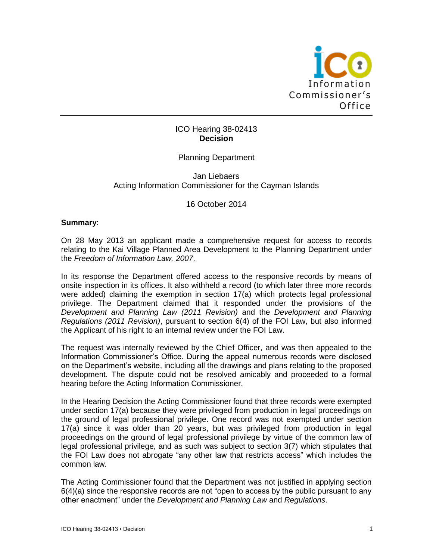

## ICO Hearing 38-02413 **Decision**

## Planning Department

### Jan Liebaers Acting Information Commissioner for the Cayman Islands

#### 16 October 2014

#### **Summary**:

On 28 May 2013 an applicant made a comprehensive request for access to records relating to the Kai Village Planned Area Development to the Planning Department under the *Freedom of Information Law, 2007*.

In its response the Department offered access to the responsive records by means of onsite inspection in its offices. It also withheld a record (to which later three more records were added) claiming the exemption in section 17(a) which protects legal professional privilege. The Department claimed that it responded under the provisions of the *Development and Planning Law (2011 Revision)* and the *Development and Planning Regulations (2011 Revision)*, pursuant to section 6(4) of the FOI Law, but also informed the Applicant of his right to an internal review under the FOI Law.

The request was internally reviewed by the Chief Officer, and was then appealed to the Information Commissioner's Office. During the appeal numerous records were disclosed on the Department's website, including all the drawings and plans relating to the proposed development. The dispute could not be resolved amicably and proceeded to a formal hearing before the Acting Information Commissioner.

In the Hearing Decision the Acting Commissioner found that three records were exempted under section 17(a) because they were privileged from production in legal proceedings on the ground of legal professional privilege. One record was not exempted under section 17(a) since it was older than 20 years, but was privileged from production in legal proceedings on the ground of legal professional privilege by virtue of the common law of legal professional privilege, and as such was subject to section 3(7) which stipulates that the FOI Law does not abrogate "any other law that restricts access" which includes the common law.

The Acting Commissioner found that the Department was not justified in applying section 6(4)(a) since the responsive records are not "open to access by the public pursuant to any other enactment" under the *Development and Planning Law* and *Regulations*.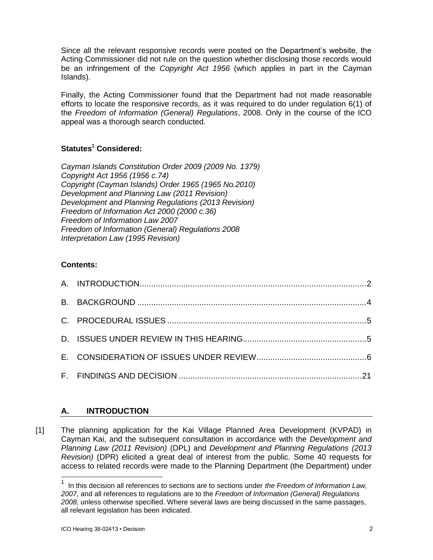Since all the relevant responsive records were posted on the Department's website, the Acting Commissioner did not rule on the question whether disclosing those records would be an infringement of the *Copyright Act 1956* (which applies in part in the Cayman Islands).

Finally, the Acting Commissioner found that the Department had not made reasonable efforts to locate the responsive records, as it was required to do under regulation 6(1) of the *Freedom of Information (General) Regulations*, 2008. Only in the course of the ICO appeal was a thorough search conducted.

# **Statutes<sup>1</sup> Considered:**

*Cayman Islands Constitution Order 2009 (2009 No. 1379) Copyright Act 1956 (1956 c.74) Copyright (Cayman Islands) Order 1965 (1965 No.2010) Development and Planning Law (2011 Revision) Development and Planning Regulations (2013 Revision) Freedom of Information Act 2000 (2000 c.36) Freedom of Information Law 2007 Freedom of Information (General) Regulations 2008 Interpretation Law (1995 Revision)*

# **Contents:**

# **A. INTRODUCTION**

[1] The planning application for the Kai Village Planned Area Development (KVPAD) in Cayman Kai, and the subsequent consultation in accordance with the *Development and Planning Law (2011 Revision)* (DPL) and *Development and Planning Regulations (2013 Revision)* (DPR) elicited a great deal of interest from the public. Some 40 requests for access to related records were made to the Planning Department (the Department) under

l

<sup>1</sup> In this decision all references to sections are to sections under *the Freedom of Information Law, 2007*, and all references to regulations are to the *Freedom of Information (General) Regulations 2008*, unless otherwise specified. Where several laws are being discussed in the same passages, all relevant legislation has been indicated.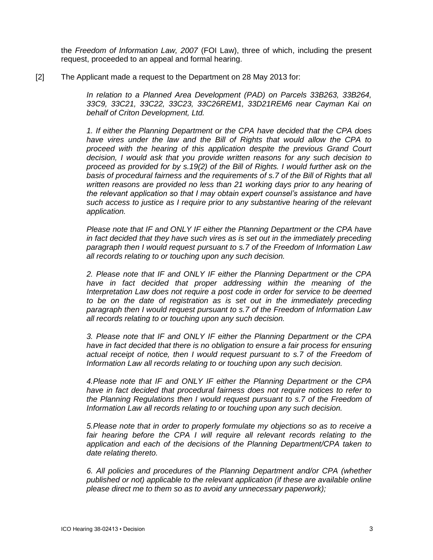the *Freedom of Information Law, 2007* (FOI Law), three of which, including the present request, proceeded to an appeal and formal hearing.

[2] The Applicant made a request to the Department on 28 May 2013 for:

*In relation to a Planned Area Development (PAD) on Parcels 33B263, 33B264, 33C9, 33C21, 33C22, 33C23, 33C26REM1, 33D21REM6 near Cayman Kai on behalf of Criton Development, Ltd.* 

*1. If either the Planning Department or the CPA have decided that the CPA does have vires under the law and the Bill of Rights that would allow the CPA to proceed with the hearing of this application despite the previous Grand Court decision, I would ask that you provide written reasons for any such decision to proceed as provided for by s.19(2) of the Bill of Rights. I would further ask on the basis of procedural fairness and the requirements of s.7 of the Bill of Rights that all written reasons are provided no less than 21 working days prior to any hearing of the relevant application so that I may obtain expert counsel's assistance and have such access to justice as I require prior to any substantive hearing of the relevant application.* 

*Please note that IF and ONLY IF either the Planning Department or the CPA have in fact decided that they have such vires as is set out in the immediately preceding paragraph then I would request pursuant to s.7 of the Freedom of Information Law all records relating to or touching upon any such decision.* 

*2. Please note that IF and ONLY IF either the Planning Department or the CPA have in fact decided that proper addressing within the meaning of the Interpretation Law does not require a post code in order for service to be deemed*  to be on the date of registration as is set out in the immediately preceding *paragraph then I would request pursuant to s.7 of the Freedom of Information Law all records relating to or touching upon any such decision.* 

*3. Please note that IF and ONLY IF either the Planning Department or the CPA have in fact decided that there is no obligation to ensure a fair process for ensuring actual receipt of notice, then I would request pursuant to s.7 of the Freedom of Information Law all records relating to or touching upon any such decision.* 

*4.Please note that IF and ONLY IF either the Planning Department or the CPA have in fact decided that procedural fairness does not require notices to refer to the Planning Regulations then I would request pursuant to s.7 of the Freedom of Information Law all records relating to or touching upon any such decision.* 

*5.Please note that in order to properly formulate my objections so as to receive a*  fair hearing before the CPA I will require all relevant records relating to the *application and each of the decisions of the Planning Department/CPA taken to date relating thereto.* 

*6. All policies and procedures of the Planning Department and/or CPA (whether published or not) applicable to the relevant application (if these are available online please direct me to them so as to avoid any unnecessary paperwork);*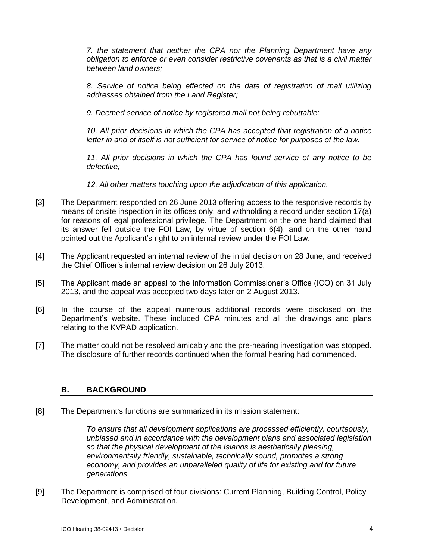*7. the statement that neither the CPA nor the Planning Department have any obligation to enforce or even consider restrictive covenants as that is a civil matter between land owners;* 

*8. Service of notice being effected on the date of registration of mail utilizing addresses obtained from the Land Register;* 

*9. Deemed service of notice by registered mail not being rebuttable;* 

*10. All prior decisions in which the CPA has accepted that registration of a notice letter in and of itself is not sufficient for service of notice for purposes of the law.* 

*11. All prior decisions in which the CPA has found service of any notice to be defective;* 

*12. All other matters touching upon the adjudication of this application.*

- [3] The Department responded on 26 June 2013 offering access to the responsive records by means of onsite inspection in its offices only, and withholding a record under section 17(a) for reasons of legal professional privilege. The Department on the one hand claimed that its answer fell outside the FOI Law, by virtue of section 6(4), and on the other hand pointed out the Applicant's right to an internal review under the FOI Law.
- [4] The Applicant requested an internal review of the initial decision on 28 June, and received the Chief Officer's internal review decision on 26 July 2013.
- [5] The Applicant made an appeal to the Information Commissioner's Office (ICO) on 31 July 2013, and the appeal was accepted two days later on 2 August 2013.
- [6] In the course of the appeal numerous additional records were disclosed on the Department's website. These included CPA minutes and all the drawings and plans relating to the KVPAD application.
- [7] The matter could not be resolved amicably and the pre-hearing investigation was stopped. The disclosure of further records continued when the formal hearing had commenced.

## **B. BACKGROUND**

[8] The Department's functions are summarized in its mission statement:

*To ensure that all development applications are processed efficiently, courteously, unbiased and in accordance with the development plans and associated legislation so that the physical development of the Islands is aesthetically pleasing, environmentally friendly, sustainable, technically sound, promotes a strong economy, and provides an unparalleled quality of life for existing and for future generations.*

[9] The Department is comprised of four divisions: Current Planning, Building Control, Policy Development, and Administration.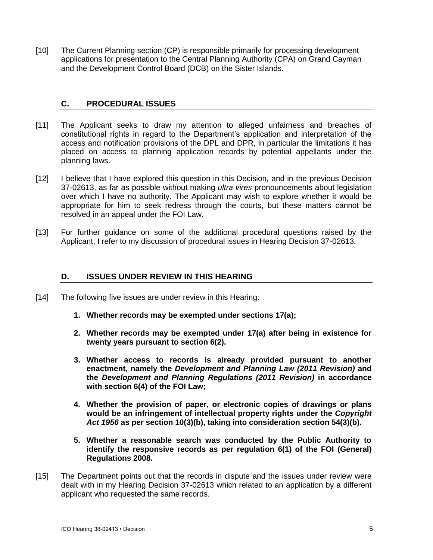[10] The Current Planning section (CP) is responsible primarily for processing development applications for presentation to the Central Planning Authority (CPA) on Grand Cayman and the Development Control Board (DCB) on the Sister Islands.

## **C. PROCEDURAL ISSUES**

- [11] The Applicant seeks to draw my attention to alleged unfairness and breaches of constitutional rights in regard to the Department's application and interpretation of the access and notification provisions of the DPL and DPR, in particular the limitations it has placed on access to planning application records by potential appellants under the planning laws.
- [12] I believe that I have explored this question in this Decision, and in the previous Decision 37-02613, as far as possible without making *ultra vires* pronouncements about legislation over which I have no authority. The Applicant may wish to explore whether it would be appropriate for him to seek redress through the courts, but these matters cannot be resolved in an appeal under the FOI Law.
- [13] For further guidance on some of the additional procedural questions raised by the Applicant, I refer to my discussion of procedural issues in Hearing Decision 37-02613.

### **D. ISSUES UNDER REVIEW IN THIS HEARING**

- [14] The following five issues are under review in this Hearing:
	- **1. Whether records may be exempted under sections 17(a);**
	- **2. Whether records may be exempted under 17(a) after being in existence for twenty years pursuant to section 6(2).**
	- **3. Whether access to records is already provided pursuant to another enactment, namely the** *Development and Planning Law (2011 Revision)* **and the** *Development and Planning Regulations (2011 Revision)* **in accordance with section 6(4) of the FOI Law;**
	- **4. Whether the provision of paper, or electronic copies of drawings or plans would be an infringement of intellectual property rights under the** *Copyright Act 1956* **as per section 10(3)(b), taking into consideration section 54(3)(b).**
	- **5. Whether a reasonable search was conducted by the Public Authority to identify the responsive records as per regulation 6(1) of the FOI (General) Regulations 2008.**
- [15] The Department points out that the records in dispute and the issues under review were dealt with in my Hearing Decision 37-02613 which related to an application by a different applicant who requested the same records.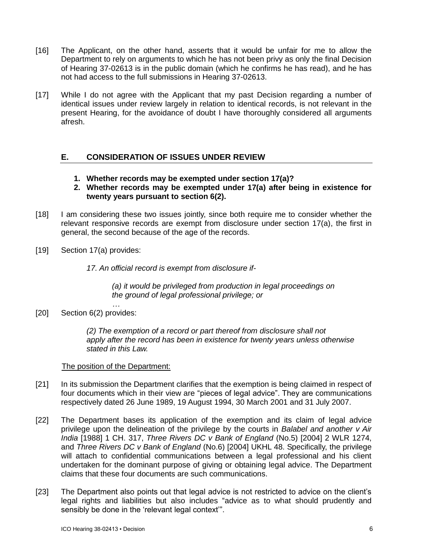- [16] The Applicant, on the other hand, asserts that it would be unfair for me to allow the Department to rely on arguments to which he has not been privy as only the final Decision of Hearing 37-02613 is in the public domain (which he confirms he has read), and he has not had access to the full submissions in Hearing 37-02613.
- [17] While I do not agree with the Applicant that my past Decision regarding a number of identical issues under review largely in relation to identical records, is not relevant in the present Hearing, for the avoidance of doubt I have thoroughly considered all arguments afresh.

# **E. CONSIDERATION OF ISSUES UNDER REVIEW**

- **1. Whether records may be exempted under section 17(a)?**
- **2. Whether records may be exempted under 17(a) after being in existence for twenty years pursuant to section 6(2).**
- [18] I am considering these two issues jointly, since both require me to consider whether the relevant responsive records are exempt from disclosure under section 17(a), the first in general, the second because of the age of the records.
- [19] Section 17(a) provides:

*17. An official record is exempt from disclosure if-*

*(a) it would be privileged from production in legal proceedings on the ground of legal professional privilege; or*

*…* [20] Section 6(2) provides:

> *(2) The exemption of a record or part thereof from disclosure shall not apply after the record has been in existence for twenty years unless otherwise stated in this Law.*

#### The position of the Department:

- [21] In its submission the Department clarifies that the exemption is being claimed in respect of four documents which in their view are "pieces of legal advice". They are communications respectively dated 26 June 1989, 19 August 1994, 30 March 2001 and 31 July 2007.
- [22] The Department bases its application of the exemption and its claim of legal advice privilege upon the delineation of the privilege by the courts in *Balabel and another v Air India* [1988] 1 CH. 317, *Three Rivers DC v Bank of England* (No.5) [2004] 2 WLR 1274, and *Three Rivers DC v Bank of England* (No.6) [2004] UKHL 48. Specifically, the privilege will attach to confidential communications between a legal professional and his client undertaken for the dominant purpose of giving or obtaining legal advice. The Department claims that these four documents are such communications.
- [23] The Department also points out that legal advice is not restricted to advice on the client's legal rights and liabilities but also includes "advice as to what should prudently and sensibly be done in the 'relevant legal context'".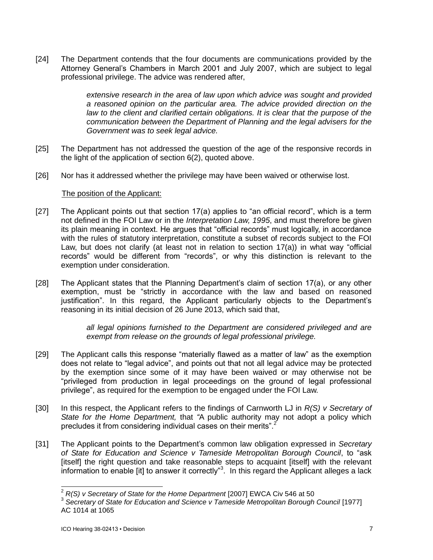[24] The Department contends that the four documents are communications provided by the Attorney General's Chambers in March 2001 and July 2007, which are subject to legal professional privilege. The advice was rendered after,

> *extensive research in the area of law upon which advice was sought and provided a reasoned opinion on the particular area. The advice provided direction on the law to the client and clarified certain obligations. It is clear that the purpose of the communication between the Department of Planning and the legal advisers for the Government was to seek legal advice.*

- [25] The Department has not addressed the question of the age of the responsive records in the light of the application of section 6(2), quoted above.
- [26] Nor has it addressed whether the privilege may have been waived or otherwise lost.

#### The position of the Applicant:

- [27] The Applicant points out that section 17(a) applies to "an official record", which is a term not defined in the FOI Law or in the *Interpretation Law, 1995*, and must therefore be given its plain meaning in context. He argues that "official records" must logically, in accordance with the rules of statutory interpretation, constitute a subset of records subject to the FOI Law, but does not clarify (at least not in relation to section 17(a)) in what way "official records" would be different from "records", or why this distinction is relevant to the exemption under consideration.
- [28] The Applicant states that the Planning Department's claim of section 17(a), or any other exemption, must be "strictly in accordance with the law and based on reasoned justification". In this regard, the Applicant particularly objects to the Department's reasoning in its initial decision of 26 June 2013, which said that,

*all legal opinions furnished to the Department are considered privileged and are exempt from release on the grounds of legal professional privilege.*

- [29] The Applicant calls this response "materially flawed as a matter of law" as the exemption does not relate to "legal advice", and points out that not all legal advice may be protected by the exemption since some of it may have been waived or may otherwise not be "privileged from production in legal proceedings on the ground of legal professional privilege", as required for the exemption to be engaged under the FOI Law.
- [30] In this respect, the Applicant refers to the findings of Carnworth LJ in *R(S) v Secretary of State for the Home Department,* that *"*A public authority may not adopt a policy which precludes it from considering individual cases on their merits".<sup>2</sup>
- [31] The Applicant points to the Department's common law obligation expressed in *Secretary of State for Education and Science v Tameside Metropolitan Borough Council*, to "ask [itself] the right question and take reasonable steps to acquaint [itself] with the relevant information to enable [it] to answer it correctly"<sup>3</sup>. In this regard the Applicant alleges a lack

 $\overline{\phantom{a}}$ 

<sup>2</sup> *R(S) v Secretary of State for the Home Department* [2007] EWCA Civ 546 at 50

<sup>&</sup>lt;sup>3</sup> Secretary of State for Education and Science v Tameside Metropolitan Borough Council [1977] AC 1014 at 1065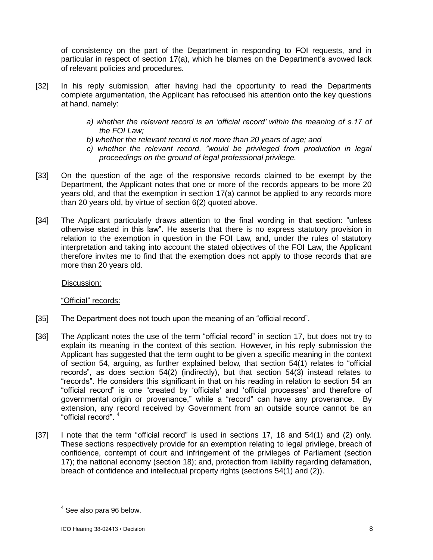of consistency on the part of the Department in responding to FOI requests, and in particular in respect of section 17(a), which he blames on the Department's avowed lack of relevant policies and procedures.

- [32] In his reply submission, after having had the opportunity to read the Departments complete argumentation, the Applicant has refocused his attention onto the key questions at hand, namely:
	- *a) whether the relevant record is an 'official record' within the meaning of s.17 of the FOI Law;*
	- *b) whether the relevant record is not more than 20 years of age; and*
	- *c) whether the relevant record, "would be privileged from production in legal proceedings on the ground of legal professional privilege.*
- [33] On the question of the age of the responsive records claimed to be exempt by the Department, the Applicant notes that one or more of the records appears to be more 20 years old, and that the exemption in section 17(a) cannot be applied to any records more than 20 years old, by virtue of section 6(2) quoted above.
- [34] The Applicant particularly draws attention to the final wording in that section: "unless otherwise stated in this law". He asserts that there is no express statutory provision in relation to the exemption in question in the FOI Law, and, under the rules of statutory interpretation and taking into account the stated objectives of the FOI Law, the Applicant therefore invites me to find that the exemption does not apply to those records that are more than 20 years old.

Discussion:

"Official" records:

- [35] The Department does not touch upon the meaning of an "official record".
- [36] The Applicant notes the use of the term "official record" in section 17, but does not try to explain its meaning in the context of this section. However, in his reply submission the Applicant has suggested that the term ought to be given a specific meaning in the context of section 54, arguing, as further explained below, that section 54(1) relates to "official records", as does section 54(2) (indirectly), but that section 54(3) instead relates to "records". He considers this significant in that on his reading in relation to section 54 an "official record" is one "created by 'officials' and 'official processes' and therefore of governmental origin or provenance," while a "record" can have any provenance. By extension, any record received by Government from an outside source cannot be an "official record". <sup>4</sup>
- [37] I note that the term "official record" is used in sections 17, 18 and 54(1) and (2) only. These sections respectively provide for an exemption relating to legal privilege, breach of confidence, contempt of court and infringement of the privileges of Parliament (section 17); the national economy (section 18); and, protection from liability regarding defamation, breach of confidence and intellectual property rights (sections 54(1) and (2)).

 4 See also para 96 below.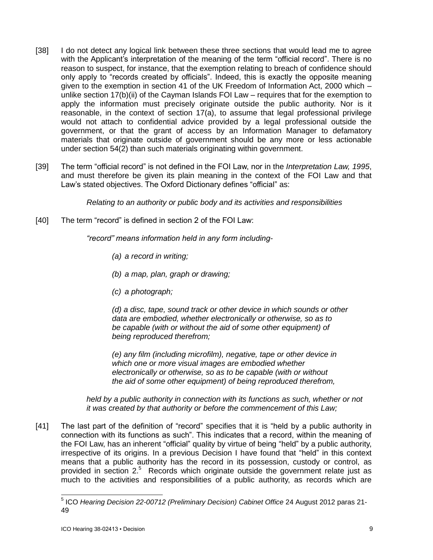- [38] I do not detect any logical link between these three sections that would lead me to agree with the Applicant's interpretation of the meaning of the term "official record". There is no reason to suspect, for instance, that the exemption relating to breach of confidence should only apply to "records created by officials". Indeed, this is exactly the opposite meaning given to the exemption in section 41 of the UK Freedom of Information Act, 2000 which – unlike section 17(b)(ii) of the Cayman Islands FOI Law – requires that for the exemption to apply the information must precisely originate outside the public authority. Nor is it reasonable, in the context of section 17(a), to assume that legal professional privilege would not attach to confidential advice provided by a legal professional outside the government, or that the grant of access by an Information Manager to defamatory materials that originate outside of government should be any more or less actionable under section 54(2) than such materials originating within government.
- [39] The term "official record" is not defined in the FOI Law, nor in the *Interpretation Law, 1995*, and must therefore be given its plain meaning in the context of the FOI Law and that Law's stated objectives. The Oxford Dictionary defines "official" as:

*Relating to an authority or public body and its activities and responsibilities*

[40] The term "record" is defined in section 2 of the FOI Law:

*"record" means information held in any form including-*

*(a) a record in writing;*

- *(b) a map, plan, graph or drawing;*
- *(c) a photograph;*

*(d) a disc, tape, sound track or other device in which sounds or other data are embodied, whether electronically or otherwise, so as to be capable (with or without the aid of some other equipment) of being reproduced therefrom;*

*(e) any film (including microfilm), negative, tape or other device in which one or more visual images are embodied whether electronically or otherwise, so as to be capable (with or without the aid of some other equipment) of being reproduced therefrom,*

*held by a public authority in connection with its functions as such, whether or not it was created by that authority or before the commencement of this Law;*

[41] The last part of the definition of "record" specifies that it is "held by a public authority in connection with its functions as such". This indicates that a record, within the meaning of the FOI Law, has an inherent "official" quality by virtue of being "held" by a public authority, irrespective of its origins. In a previous Decision I have found that "held" in this context means that a public authority has the record in its possession, custody or control, as provided in section  $2.5$  Records which originate outside the government relate just as much to the activities and responsibilities of a public authority, as records which are

 5 ICO *Hearing Decision 22-00712 (Preliminary Decision) Cabinet Office* 24 August 2012 paras 21- 49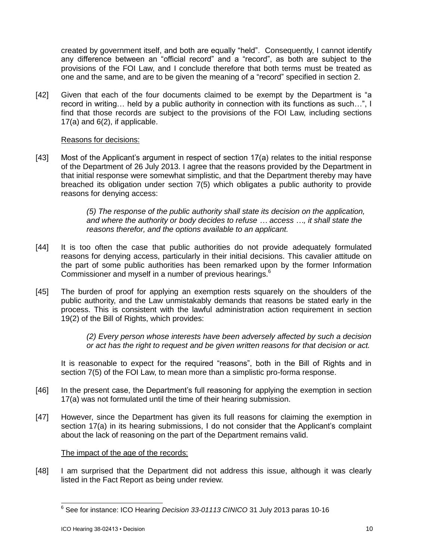created by government itself, and both are equally "held". Consequently, I cannot identify any difference between an "official record" and a "record", as both are subject to the provisions of the FOI Law, and I conclude therefore that both terms must be treated as one and the same, and are to be given the meaning of a "record" specified in section 2.

[42] Given that each of the four documents claimed to be exempt by the Department is "a record in writing… held by a public authority in connection with its functions as such…", I find that those records are subject to the provisions of the FOI Law, including sections 17(a) and 6(2), if applicable.

## Reasons for decisions:

[43] Most of the Applicant's argument in respect of section 17(a) relates to the initial response of the Department of 26 July 2013. I agree that the reasons provided by the Department in that initial response were somewhat simplistic, and that the Department thereby may have breached its obligation under section 7(5) which obligates a public authority to provide reasons for denying access:

> *(5) The response of the public authority shall state its decision on the application, and where the authority or body decides to refuse … access …, it shall state the reasons therefor, and the options available to an applicant.*

- [44] It is too often the case that public authorities do not provide adequately formulated reasons for denying access, particularly in their initial decisions. This cavalier attitude on the part of some public authorities has been remarked upon by the former Information Commissioner and myself in a number of previous hearings.<sup>6</sup>
- [45] The burden of proof for applying an exemption rests squarely on the shoulders of the public authority, and the Law unmistakably demands that reasons be stated early in the process. This is consistent with the lawful administration action requirement in section 19(2) of the Bill of Rights, which provides:

*(2) Every person whose interests have been adversely affected by such a decision or act has the right to request and be given written reasons for that decision or act.*

It is reasonable to expect for the required "reasons", both in the Bill of Rights and in section 7(5) of the FOI Law, to mean more than a simplistic pro-forma response.

- [46] In the present case, the Department's full reasoning for applying the exemption in section 17(a) was not formulated until the time of their hearing submission.
- [47] However, since the Department has given its full reasons for claiming the exemption in section 17(a) in its hearing submissions, I do not consider that the Applicant's complaint about the lack of reasoning on the part of the Department remains valid.

## The impact of the age of the records:

[48] I am surprised that the Department did not address this issue, although it was clearly listed in the Fact Report as being under review.

 6 See for instance: ICO Hearing *Decision 33-01113 CINICO* 31 July 2013 paras 10-16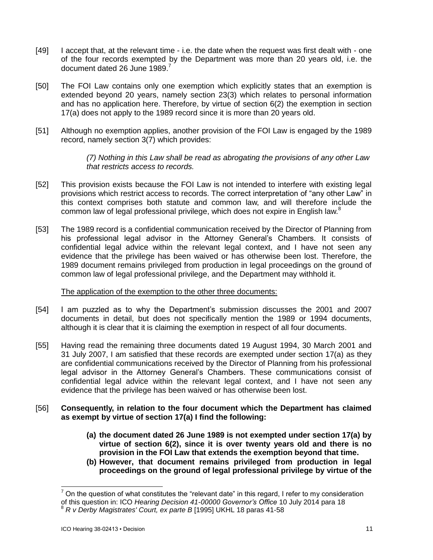- [49] I accept that, at the relevant time i.e. the date when the request was first dealt with one of the four records exempted by the Department was more than 20 years old, i.e. the document dated 26 June 1989.<sup>7</sup>
- [50] The FOI Law contains only one exemption which explicitly states that an exemption is extended beyond 20 years, namely section 23(3) which relates to personal information and has no application here. Therefore, by virtue of section 6(2) the exemption in section 17(a) does not apply to the 1989 record since it is more than 20 years old.
- [51] Although no exemption applies, another provision of the FOI Law is engaged by the 1989 record, namely section 3(7) which provides:

*(7) Nothing in this Law shall be read as abrogating the provisions of any other Law that restricts access to records.*

- [52] This provision exists because the FOI Law is not intended to interfere with existing legal provisions which restrict access to records. The correct interpretation of "any other Law" in this context comprises both statute and common law, and will therefore include the common law of legal professional privilege, which does not expire in English law.<sup>8</sup>
- [53] The 1989 record is a confidential communication received by the Director of Planning from his professional legal advisor in the Attorney General's Chambers. It consists of confidential legal advice within the relevant legal context, and I have not seen any evidence that the privilege has been waived or has otherwise been lost. Therefore, the 1989 document remains privileged from production in legal proceedings on the ground of common law of legal professional privilege, and the Department may withhold it.

#### The application of the exemption to the other three documents:

- [54] I am puzzled as to why the Department's submission discusses the 2001 and 2007 documents in detail, but does not specifically mention the 1989 or 1994 documents, although it is clear that it is claiming the exemption in respect of all four documents.
- [55] Having read the remaining three documents dated 19 August 1994, 30 March 2001 and 31 July 2007, I am satisfied that these records are exempted under section 17(a) as they are confidential communications received by the Director of Planning from his professional legal advisor in the Attorney General's Chambers. These communications consist of confidential legal advice within the relevant legal context, and I have not seen any evidence that the privilege has been waived or has otherwise been lost.
- [56] **Consequently, in relation to the four document which the Department has claimed as exempt by virtue of section 17(a) I find the following:**
	- **(a) the document dated 26 June 1989 is not exempted under section 17(a) by virtue of section 6(2), since it is over twenty years old and there is no provision in the FOI Law that extends the exemption beyond that time.**
	- **(b) However, that document remains privileged from production in legal proceedings on the ground of legal professional privilege by virtue of the**

l

<sup>7</sup> On the question of what constitutes the "relevant date" in this regard, I refer to my consideration of this question in: ICO *Hearing Decision 41-00000 Governor's Office* 10 July 2014 para 18

<sup>8</sup> *R v Derby Magistrates' Court, ex parte B* [1995] UKHL 18 paras 41-58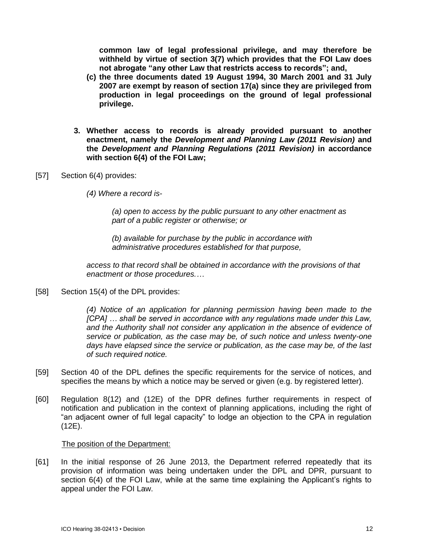**common law of legal professional privilege, and may therefore be withheld by virtue of section 3(7) which provides that the FOI Law does not abrogate "any other Law that restricts access to records"; and,**

- **(c) the three documents dated 19 August 1994, 30 March 2001 and 31 July 2007 are exempt by reason of section 17(a) since they are privileged from production in legal proceedings on the ground of legal professional privilege.**
- **3. Whether access to records is already provided pursuant to another enactment, namely the** *Development and Planning Law (2011 Revision)* **and the** *Development and Planning Regulations (2011 Revision)* **in accordance with section 6(4) of the FOI Law;**
- [57] Section 6(4) provides:
	- *(4) Where a record is-*

*(a) open to access by the public pursuant to any other enactment as part of a public register or otherwise; or*

*(b) available for purchase by the public in accordance with administrative procedures established for that purpose,*

*access to that record shall be obtained in accordance with the provisions of that enactment or those procedures.…*

[58] Section 15(4) of the DPL provides:

*(4) Notice of an application for planning permission having been made to the [CPA] … shall be served in accordance with any regulations made under this Law, and the Authority shall not consider any application in the absence of evidence of service or publication, as the case may be, of such notice and unless twenty-one days have elapsed since the service or publication, as the case may be, of the last of such required notice.* 

- [59] Section 40 of the DPL defines the specific requirements for the service of notices, and specifies the means by which a notice may be served or given (e.g. by registered letter).
- [60] Regulation 8(12) and (12E) of the DPR defines further requirements in respect of notification and publication in the context of planning applications, including the right of "an adjacent owner of full legal capacity" to lodge an objection to the CPA in regulation (12E).

#### The position of the Department:

[61] In the initial response of 26 June 2013, the Department referred repeatedly that its provision of information was being undertaken under the DPL and DPR, pursuant to section 6(4) of the FOI Law, while at the same time explaining the Applicant's rights to appeal under the FOI Law.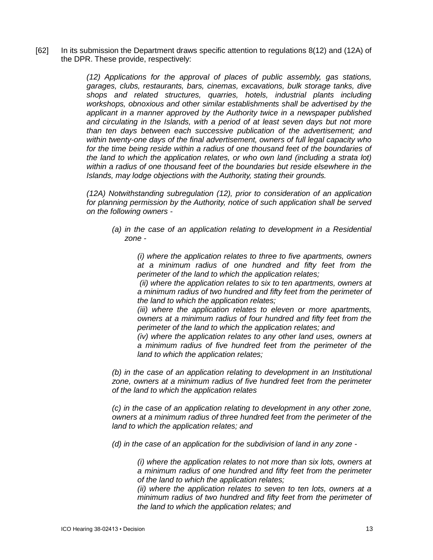[62] In its submission the Department draws specific attention to regulations 8(12) and (12A) of the DPR. These provide, respectively:

> *(12) Applications for the approval of places of public assembly, gas stations, garages, clubs, restaurants, bars, cinemas, excavations, bulk storage tanks, dive shops and related structures, quarries, hotels, industrial plants including workshops, obnoxious and other similar establishments shall be advertised by the applicant in a manner approved by the Authority twice in a newspaper published and circulating in the Islands, with a period of at least seven days but not more than ten days between each successive publication of the advertisement; and within twenty-one days of the final advertisement, owners of full legal capacity who*  for the time being reside within a radius of one thousand feet of the boundaries of *the land to which the application relates, or who own land (including a strata lot) within a radius of one thousand feet of the boundaries but reside elsewhere in the Islands, may lodge objections with the Authority, stating their grounds.*

> *(12A) Notwithstanding subregulation (12), prior to consideration of an application for planning permission by the Authority, notice of such application shall be served on the following owners -*

*(a) in the case of an application relating to development in a Residential zone -*

*(i) where the application relates to three to five apartments, owners at a minimum radius of one hundred and fifty feet from the perimeter of the land to which the application relates;*

*(ii) where the application relates to six to ten apartments, owners at a minimum radius of two hundred and fifty feet from the perimeter of the land to which the application relates;*

*(iii) where the application relates to eleven or more apartments, owners at a minimum radius of four hundred and fifty feet from the perimeter of the land to which the application relates; and*

*(iv) where the application relates to any other land uses, owners at a minimum radius of five hundred feet from the perimeter of the land to which the application relates;*

*(b) in the case of an application relating to development in an Institutional zone, owners at a minimum radius of five hundred feet from the perimeter of the land to which the application relates*

*(c) in the case of an application relating to development in any other zone, owners at a minimum radius of three hundred feet from the perimeter of the land to which the application relates; and*

*(d) in the case of an application for the subdivision of land in any zone -*

*(i) where the application relates to not more than six lots, owners at a minimum radius of one hundred and fifty feet from the perimeter of the land to which the application relates;*

*(ii) where the application relates to seven to ten lots, owners at a minimum radius of two hundred and fifty feet from the perimeter of the land to which the application relates; and*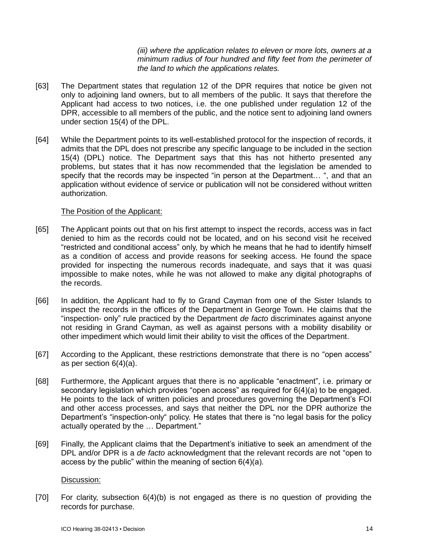*(iii) where the application relates to eleven or more lots, owners at a minimum radius of four hundred and fifty feet from the perimeter of the land to which the applications relates.*

- [63] The Department states that regulation 12 of the DPR requires that notice be given not only to adjoining land owners, but to all members of the public. It says that therefore the Applicant had access to two notices, i.e. the one published under regulation 12 of the DPR, accessible to all members of the public, and the notice sent to adjoining land owners under section 15(4) of the DPL.
- [64] While the Department points to its well-established protocol for the inspection of records, it admits that the DPL does not prescribe any specific language to be included in the section 15(4) (DPL) notice. The Department says that this has not hitherto presented any problems, but states that it has now recommended that the legislation be amended to specify that the records may be inspected "in person at the Department… ", and that an application without evidence of service or publication will not be considered without written authorization.

#### The Position of the Applicant:

- [65] The Applicant points out that on his first attempt to inspect the records, access was in fact denied to him as the records could not be located, and on his second visit he received "restricted and conditional access" only, by which he means that he had to identify himself as a condition of access and provide reasons for seeking access. He found the space provided for inspecting the numerous records inadequate, and says that it was quasi impossible to make notes, while he was not allowed to make any digital photographs of the records.
- [66] In addition, the Applicant had to fly to Grand Cayman from one of the Sister Islands to inspect the records in the offices of the Department in George Town. He claims that the "inspection- only" rule practiced by the Department *de facto* discriminates against anyone not residing in Grand Cayman, as well as against persons with a mobility disability or other impediment which would limit their ability to visit the offices of the Department.
- [67] According to the Applicant, these restrictions demonstrate that there is no "open access" as per section 6(4)(a).
- [68] Furthermore, the Applicant argues that there is no applicable "enactment", i.e. primary or secondary legislation which provides "open access" as required for 6(4)(a) to be engaged. He points to the lack of written policies and procedures governing the Department's FOI and other access processes, and says that neither the DPL nor the DPR authorize the Department's "inspection-only" policy. He states that there is "no legal basis for the policy actually operated by the … Department."
- [69] Finally, the Applicant claims that the Department's initiative to seek an amendment of the DPL and/or DPR is a *de facto* acknowledgment that the relevant records are not "open to access by the public" within the meaning of section 6(4)(a).

#### Discussion:

[70] For clarity, subsection 6(4)(b) is not engaged as there is no question of providing the records for purchase.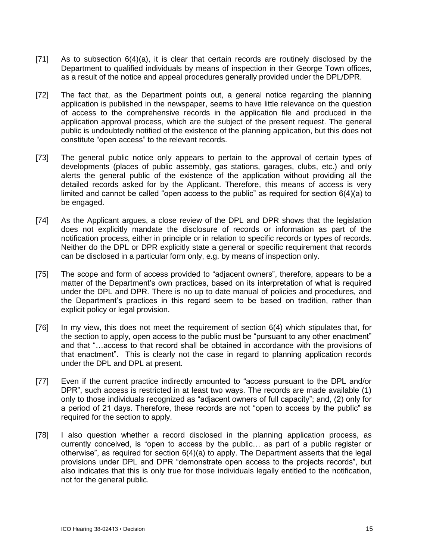- [71] As to subsection 6(4)(a), it is clear that certain records are routinely disclosed by the Department to qualified individuals by means of inspection in their George Town offices, as a result of the notice and appeal procedures generally provided under the DPL/DPR.
- [72] The fact that, as the Department points out, a general notice regarding the planning application is published in the newspaper, seems to have little relevance on the question of access to the comprehensive records in the application file and produced in the application approval process, which are the subject of the present request. The general public is undoubtedly notified of the existence of the planning application, but this does not constitute "open access" to the relevant records.
- [73] The general public notice only appears to pertain to the approval of certain types of developments (places of public assembly, gas stations, garages, clubs, etc.) and only alerts the general public of the existence of the application without providing all the detailed records asked for by the Applicant. Therefore, this means of access is very limited and cannot be called "open access to the public" as required for section 6(4)(a) to be engaged.
- [74] As the Applicant argues, a close review of the DPL and DPR shows that the legislation does not explicitly mandate the disclosure of records or information as part of the notification process, either in principle or in relation to specific records or types of records. Neither do the DPL or DPR explicitly state a general or specific requirement that records can be disclosed in a particular form only, e.g. by means of inspection only.
- [75] The scope and form of access provided to "adjacent owners", therefore, appears to be a matter of the Department's own practices, based on its interpretation of what is required under the DPL and DPR. There is no up to date manual of policies and procedures, and the Department's practices in this regard seem to be based on tradition, rather than explicit policy or legal provision.
- [76] In my view, this does not meet the requirement of section 6(4) which stipulates that, for the section to apply, open access to the public must be "pursuant to any other enactment" and that "…access to that record shall be obtained in accordance with the provisions of that enactment". This is clearly not the case in regard to planning application records under the DPL and DPL at present.
- [77] Even if the current practice indirectly amounted to "access pursuant to the DPL and/or DPR", such access is restricted in at least two ways. The records are made available (1) only to those individuals recognized as "adjacent owners of full capacity"; and, (2) only for a period of 21 days. Therefore, these records are not "open to access by the public" as required for the section to apply.
- [78] I also question whether a record disclosed in the planning application process, as currently conceived, is "open to access by the public… as part of a public register or otherwise", as required for section 6(4)(a) to apply. The Department asserts that the legal provisions under DPL and DPR "demonstrate open access to the projects records", but also indicates that this is only true for those individuals legally entitled to the notification, not for the general public.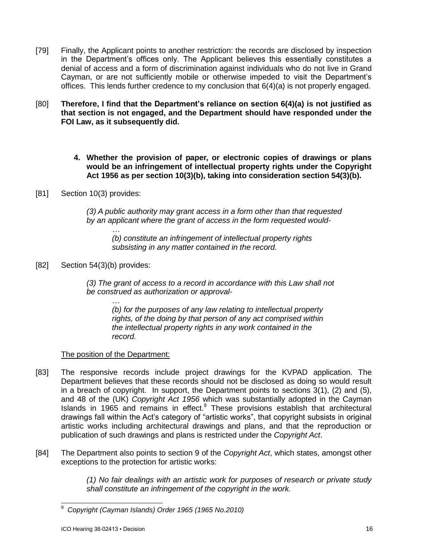- [79] Finally, the Applicant points to another restriction: the records are disclosed by inspection in the Department's offices only. The Applicant believes this essentially constitutes a denial of access and a form of discrimination against individuals who do not live in Grand Cayman, or are not sufficiently mobile or otherwise impeded to visit the Department's offices. This lends further credence to my conclusion that 6(4)(a) is not properly engaged.
- [80] **Therefore, I find that the Department's reliance on section 6(4)(a) is not justified as that section is not engaged, and the Department should have responded under the FOI Law, as it subsequently did.**
	- **4. Whether the provision of paper, or electronic copies of drawings or plans would be an infringement of intellectual property rights under the Copyright Act 1956 as per section 10(3)(b), taking into consideration section 54(3)(b).**
- [81] Section 10(3) provides:

*(3) A public authority may grant access in a form other than that requested by an applicant where the grant of access in the form requested would-*

*… (b) constitute an infringement of intellectual property rights subsisting in any matter contained in the record.*

[82] Section 54(3)(b) provides:

*(3) The grant of access to a record in accordance with this Law shall not be construed as authorization or approval-*

*(b) for the purposes of any law relating to intellectual property rights, of the doing by that person of any act comprised within the intellectual property rights in any work contained in the record.*

## The position of the Department:

*…*

- [83] The responsive records include project drawings for the KVPAD application. The Department believes that these records should not be disclosed as doing so would result in a breach of copyright. In support, the Department points to sections 3(1), (2) and (5), and 48 of the (UK) *Copyright Act 1956* which was substantially adopted in the Cayman Islands in 1965 and remains in effect.<sup>9</sup> These provisions establish that architectural drawings fall within the Act's category of "artistic works", that copyright subsists in original artistic works including architectural drawings and plans, and that the reproduction or publication of such drawings and plans is restricted under the *Copyright Act*.
- [84] The Department also points to section 9 of the *Copyright Act*, which states, amongst other exceptions to the protection for artistic works:

*(1) No fair dealings with an artistic work for purposes of research or private study shall constitute an infringement of the copyright in the work.*

<sup>9</sup> <sup>9</sup> *Copyright (Cayman Islands) Order 1965 (1965 No.2010)*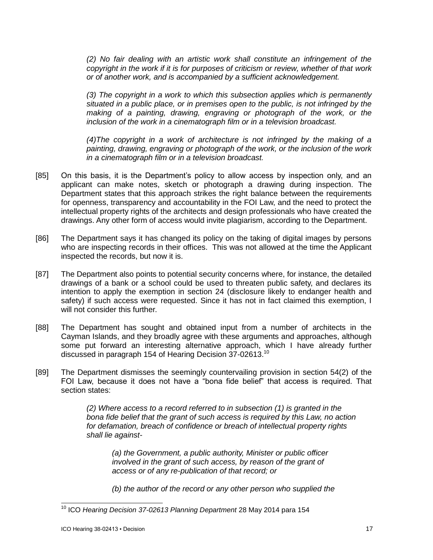*(2) No fair dealing with an artistic work shall constitute an infringement of the copyright in the work if it is for purposes of criticism or review, whether of that work or of another work, and is accompanied by a sufficient acknowledgement.*

*(3) The copyright in a work to which this subsection applies which is permanently situated in a public place, or in premises open to the public, is not infringed by the making of a painting, drawing, engraving or photograph of the work, or the inclusion of the work in a cinematograph film or in a television broadcast.*

*(4)The copyright in a work of architecture is not infringed by the making of a painting, drawing, engraving or photograph of the work, or the inclusion of the work in a cinematograph film or in a television broadcast.*

- [85] On this basis, it is the Department's policy to allow access by inspection only, and an applicant can make notes, sketch or photograph a drawing during inspection. The Department states that this approach strikes the right balance between the requirements for openness, transparency and accountability in the FOI Law, and the need to protect the intellectual property rights of the architects and design professionals who have created the drawings. Any other form of access would invite plagiarism, according to the Department.
- [86] The Department says it has changed its policy on the taking of digital images by persons who are inspecting records in their offices. This was not allowed at the time the Applicant inspected the records, but now it is.
- [87] The Department also points to potential security concerns where, for instance, the detailed drawings of a bank or a school could be used to threaten public safety, and declares its intention to apply the exemption in section 24 (disclosure likely to endanger health and safety) if such access were requested. Since it has not in fact claimed this exemption, I will not consider this further.
- [88] The Department has sought and obtained input from a number of architects in the Cayman Islands, and they broadly agree with these arguments and approaches, although some put forward an interesting alternative approach, which I have already further discussed in paragraph 154 of Hearing Decision 37-02613.<sup>10</sup>
- [89] The Department dismisses the seemingly countervailing provision in section 54(2) of the FOI Law, because it does not have a "bona fide belief" that access is required. That section states:

*(2) Where access to a record referred to in subsection (1) is granted in the bona fide belief that the grant of such access is required by this Law, no action for defamation, breach of confidence or breach of intellectual property rights shall lie against-*

*(a) the Government, a public authority, Minister or public officer involved in the grant of such access, by reason of the grant of access or of any re-publication of that record; or*

*(b) the author of the record or any other person who supplied the*

l

<sup>10</sup> ICO *Hearing Decision 37-02613 Planning Department* 28 May 2014 para 154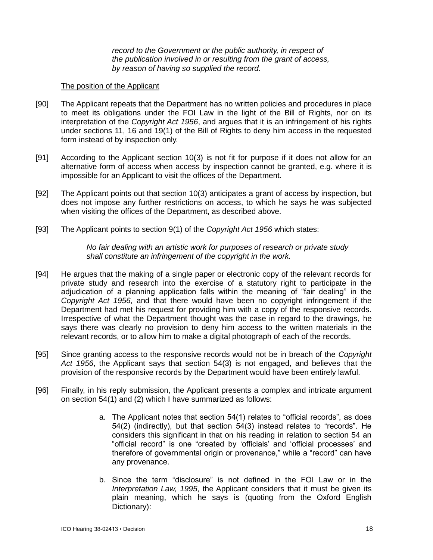*record to the Government or the public authority, in respect of the publication involved in or resulting from the grant of access, by reason of having so supplied the record.*

#### The position of the Applicant

- [90] The Applicant repeats that the Department has no written policies and procedures in place to meet its obligations under the FOI Law in the light of the Bill of Rights, nor on its interpretation of the *Copyright Act 1956*, and argues that it is an infringement of his rights under sections 11, 16 and 19(1) of the Bill of Rights to deny him access in the requested form instead of by inspection only.
- [91] According to the Applicant section 10(3) is not fit for purpose if it does not allow for an alternative form of access when access by inspection cannot be granted, e.g. where it is impossible for an Applicant to visit the offices of the Department.
- [92] The Applicant points out that section 10(3) anticipates a grant of access by inspection, but does not impose any further restrictions on access, to which he says he was subjected when visiting the offices of the Department, as described above.
- [93] The Applicant points to section 9(1) of the *Copyright Act 1956* which states:

*No fair dealing with an artistic work for purposes of research or private study shall constitute an infringement of the copyright in the work.*

- [94] He argues that the making of a single paper or electronic copy of the relevant records for private study and research into the exercise of a statutory right to participate in the adjudication of a planning application falls within the meaning of "fair dealing" in the *Copyright Act 1956*, and that there would have been no copyright infringement if the Department had met his request for providing him with a copy of the responsive records. Irrespective of what the Department thought was the case in regard to the drawings, he says there was clearly no provision to deny him access to the written materials in the relevant records, or to allow him to make a digital photograph of each of the records.
- [95] Since granting access to the responsive records would not be in breach of the *Copyright Act 1956*, the Applicant says that section 54(3) is not engaged, and believes that the provision of the responsive records by the Department would have been entirely lawful.
- [96] Finally, in his reply submission, the Applicant presents a complex and intricate argument on section 54(1) and (2) which I have summarized as follows:
	- a. The Applicant notes that section 54(1) relates to "official records", as does 54(2) (indirectly), but that section 54(3) instead relates to "records". He considers this significant in that on his reading in relation to section 54 an "official record" is one "created by 'officials' and 'official processes' and therefore of governmental origin or provenance," while a "record" can have any provenance.
	- b. Since the term "disclosure" is not defined in the FOI Law or in the *Interpretation Law, 1995*, the Applicant considers that it must be given its plain meaning, which he says is (quoting from the Oxford English Dictionary):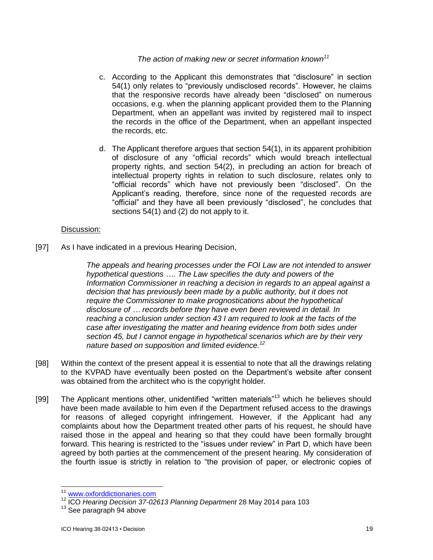## *The action of making new or secret information known<sup>11</sup>*

- c. According to the Applicant this demonstrates that "disclosure" in section 54(1) only relates to "previously undisclosed records". However, he claims that the responsive records have already been "disclosed" on numerous occasions, e.g. when the planning applicant provided them to the Planning Department, when an appellant was invited by registered mail to inspect the records in the office of the Department, when an appellant inspected the records, etc.
- d. The Applicant therefore argues that section 54(1), in its apparent prohibition of disclosure of any "official records" which would breach intellectual property rights, and section 54(2), in precluding an action for breach of intellectual property rights in relation to such disclosure, relates only to "official records" which have not previously been "disclosed". On the Applicant's reading, therefore, since none of the requested records are "official" and they have all been previously "disclosed", he concludes that sections 54(1) and (2) do not apply to it.

### Discussion:

[97] As I have indicated in a previous Hearing Decision,

*The appeals and hearing processes under the FOI Law are not intended to answer hypothetical questions …. The Law specifies the duty and powers of the Information Commissioner in reaching a decision in regards to an appeal against a decision that has previously been made by a public authority, but it does not require the Commissioner to make prognostications about the hypothetical disclosure of … records before they have even been reviewed in detail. In reaching a conclusion under section 43 I am required to look at the facts of the case after investigating the matter and hearing evidence from both sides under section 45, but I cannot engage in hypothetical scenarios which are by their very nature based on supposition and limited evidence.<sup>12</sup>*

- [98] Within the context of the present appeal it is essential to note that all the drawings relating to the KVPAD have eventually been posted on the Department's website after consent was obtained from the architect who is the copyright holder.
- [99] The Applicant mentions other, unidentified "written materials"<sup>13</sup> which he believes should have been made available to him even if the Department refused access to the drawings for reasons of alleged copyright infringement. However, if the Applicant had any complaints about how the Department treated other parts of his request, he should have raised those in the appeal and hearing so that they could have been formally brought forward. This hearing is restricted to the "issues under review" in Part D, which have been agreed by both parties at the commencement of the present hearing. My consideration of the fourth issue is strictly in relation to "the provision of paper, or electronic copies of

l

<sup>&</sup>lt;sup>11</sup> [www.oxforddictionaries.com](http://www.oxforddictionaries.com/)

<sup>12</sup> ICO *Hearing Decision 37-02613 Planning Department* 28 May 2014 para 103

<sup>&</sup>lt;sup>13</sup> See paragraph 94 above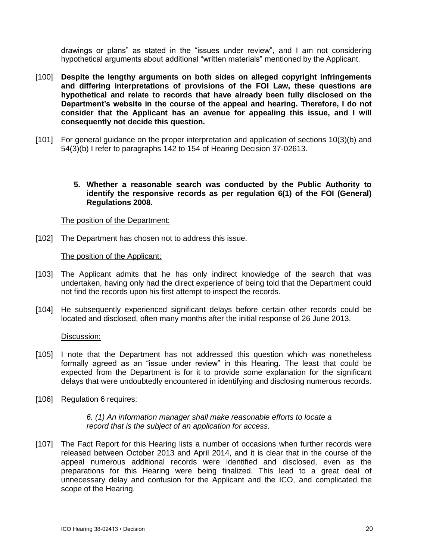drawings or plans" as stated in the "issues under review", and I am not considering hypothetical arguments about additional "written materials" mentioned by the Applicant.

- [100] **Despite the lengthy arguments on both sides on alleged copyright infringements and differing interpretations of provisions of the FOI Law, these questions are hypothetical and relate to records that have already been fully disclosed on the Department's website in the course of the appeal and hearing. Therefore, I do not consider that the Applicant has an avenue for appealing this issue, and I will consequently not decide this question.**
- [101] For general guidance on the proper interpretation and application of sections 10(3)(b) and 54(3)(b) I refer to paragraphs 142 to 154 of Hearing Decision 37-02613.
	- **5. Whether a reasonable search was conducted by the Public Authority to identify the responsive records as per regulation 6(1) of the FOI (General) Regulations 2008.**

#### The position of the Department:

[102] The Department has chosen not to address this issue.

#### The position of the Applicant:

- [103] The Applicant admits that he has only indirect knowledge of the search that was undertaken, having only had the direct experience of being told that the Department could not find the records upon his first attempt to inspect the records.
- [104] He subsequently experienced significant delays before certain other records could be located and disclosed, often many months after the initial response of 26 June 2013.

#### Discussion:

- [105] I note that the Department has not addressed this question which was nonetheless formally agreed as an "issue under review" in this Hearing. The least that could be expected from the Department is for it to provide some explanation for the significant delays that were undoubtedly encountered in identifying and disclosing numerous records.
- [106] Regulation 6 requires:

#### *6. (1) An information manager shall make reasonable efforts to locate a record that is the subject of an application for access.*

[107] The Fact Report for this Hearing lists a number of occasions when further records were released between October 2013 and April 2014, and it is clear that in the course of the appeal numerous additional records were identified and disclosed, even as the preparations for this Hearing were being finalized. This lead to a great deal of unnecessary delay and confusion for the Applicant and the ICO, and complicated the scope of the Hearing.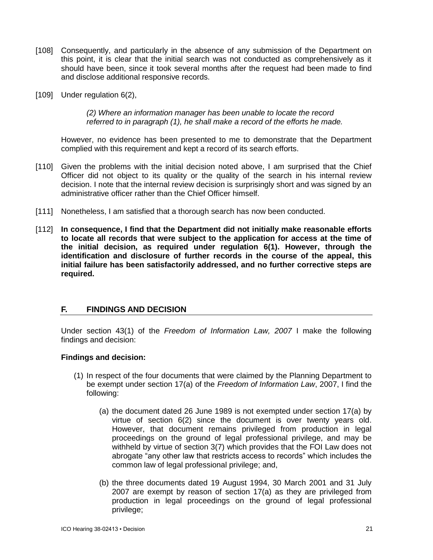- [108] Consequently, and particularly in the absence of any submission of the Department on this point, it is clear that the initial search was not conducted as comprehensively as it should have been, since it took several months after the request had been made to find and disclose additional responsive records.
- [109] Under regulation 6(2),

*(2) Where an information manager has been unable to locate the record referred to in paragraph (1), he shall make a record of the efforts he made.*

However, no evidence has been presented to me to demonstrate that the Department complied with this requirement and kept a record of its search efforts.

- [110] Given the problems with the initial decision noted above, I am surprised that the Chief Officer did not object to its quality or the quality of the search in his internal review decision. I note that the internal review decision is surprisingly short and was signed by an administrative officer rather than the Chief Officer himself.
- [111] Nonetheless, I am satisfied that a thorough search has now been conducted.
- [112] **In consequence, I find that the Department did not initially make reasonable efforts to locate all records that were subject to the application for access at the time of the initial decision, as required under regulation 6(1). However, through the identification and disclosure of further records in the course of the appeal, this initial failure has been satisfactorily addressed, and no further corrective steps are required.**

## **F. FINDINGS AND DECISION**

Under section 43(1) of the *Freedom of Information Law, 2007* I make the following findings and decision:

## **Findings and decision:**

- (1) In respect of the four documents that were claimed by the Planning Department to be exempt under section 17(a) of the *Freedom of Information Law*, 2007, I find the following:
	- (a) the document dated 26 June 1989 is not exempted under section 17(a) by virtue of section 6(2) since the document is over twenty years old. However, that document remains privileged from production in legal proceedings on the ground of legal professional privilege, and may be withheld by virtue of section 3(7) which provides that the FOI Law does not abrogate "any other law that restricts access to records" which includes the common law of legal professional privilege; and,
	- (b) the three documents dated 19 August 1994, 30 March 2001 and 31 July 2007 are exempt by reason of section 17(a) as they are privileged from production in legal proceedings on the ground of legal professional privilege;